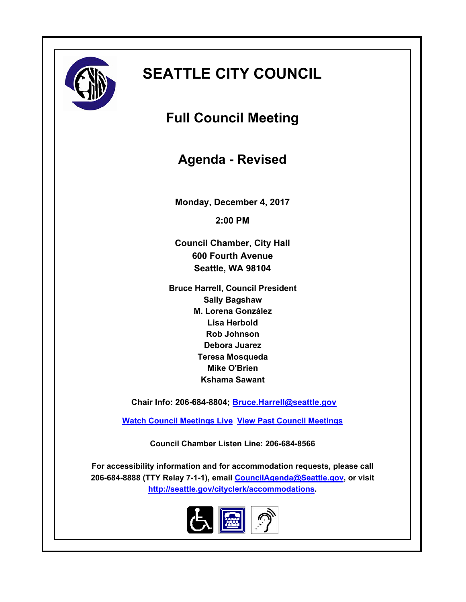

# **SEATTLE CITY COUNCIL**

**Full Council Meeting**

**Agenda - Revised**

**Monday, December 4, 2017**

**2:00 PM**

**Council Chamber, City Hall 600 Fourth Avenue Seattle, WA 98104**

**Bruce Harrell, Council President Sally Bagshaw M. Lorena González Lisa Herbold Rob Johnson Debora Juarez Teresa Mosqueda Mike O'Brien Kshama Sawant**

 **Chair Info: 206-684-8804; [Bruce.Harrell@seattle.gov](mailto:Bruce.Harrell@seattle.gov)**

**[Watch Council Meetings Live](http://www.seattle.gov/council/councillive.htm) [View Past Council Meetings](http://www.seattlechannel.org/videos/browseVideos.asp?topic=council)**

**Council Chamber Listen Line: 206-684-8566**

**For accessibility information and for accommodation requests, please call 206-684-8888 (TTY Relay 7-1-1), email [CouncilAgenda@Seattle.gov](mailto: Council.Agenda@Seattle.gov), or visit <http://seattle.gov/cityclerk/accommodations>.**

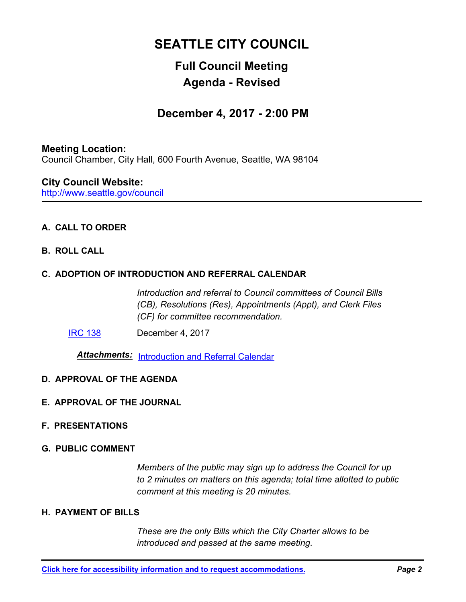# **SEATTLE CITY COUNCIL**

# **Full Council Meeting Agenda - Revised**

### **December 4, 2017 - 2:00 PM**

### **Meeting Location:**

Council Chamber, City Hall, 600 Fourth Avenue, Seattle, WA 98104

### http://www.seattle.gov/council **City Council Website:**

### **A. CALL TO ORDER**

**B. ROLL CALL**

### **C. ADOPTION OF INTRODUCTION AND REFERRAL CALENDAR**

*Introduction and referral to Council committees of Council Bills (CB), Resolutions (Res), Appointments (Appt), and Clerk Files (CF) for committee recommendation.*

[IRC 138](http://seattle.legistar.com/gateway.aspx?m=l&id=/matter.aspx?key=6634) December 4, 2017

*Attachments:* [Introduction and Referral Calendar](http://seattle.legistar.com/gateway.aspx?M=F&ID=2a685141-615a-48c1-9744-918f589eb51c.pdf)

### **D. APPROVAL OF THE AGENDA**

- **E. APPROVAL OF THE JOURNAL**
- **F. PRESENTATIONS**
- **G. PUBLIC COMMENT**

*Members of the public may sign up to address the Council for up to 2 minutes on matters on this agenda; total time allotted to public comment at this meeting is 20 minutes.*

### **H. PAYMENT OF BILLS**

*These are the only Bills which the City Charter allows to be introduced and passed at the same meeting.*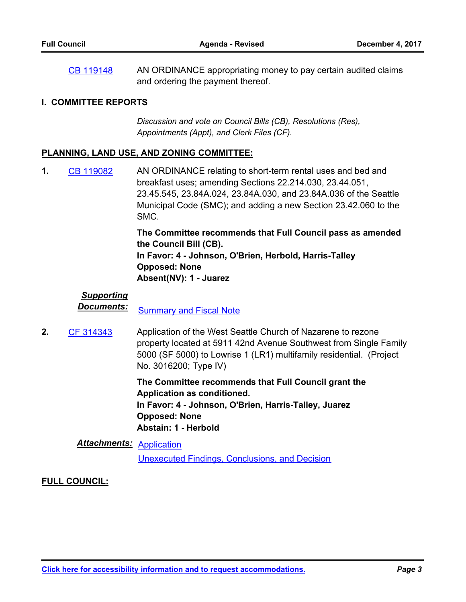AN ORDINANCE appropriating money to pay certain audited claims and ordering the payment thereof. [CB 119148](http://seattle.legistar.com/gateway.aspx?m=l&id=/matter.aspx?key=6614)

#### **I. COMMITTEE REPORTS**

*Discussion and vote on Council Bills (CB), Resolutions (Res), Appointments (Appt), and Clerk Files (CF).*

#### **PLANNING, LAND USE, AND ZONING COMMITTEE:**

AN ORDINANCE relating to short-term rental uses and bed and breakfast uses; amending Sections 22.214.030, 23.44.051, 23.45.545, 23.84A.024, 23.84A.030, and 23.84A.036 of the Seattle Municipal Code (SMC); and adding a new Section 23.42.060 to the SMC. **1.** [CB 119082](http://seattle.legistar.com/gateway.aspx?m=l&id=/matter.aspx?key=5971)

> **The Committee recommends that Full Council pass as amended the Council Bill (CB). In Favor: 4 - Johnson, O'Brien, Herbold, Harris-Talley Opposed: None Absent(NV): 1 - Juarez**

### *Supporting*

**Documents:** [Summary and Fiscal Note](http://seattle.legistar.com/gateway.aspx?M=F&ID=f0fbf35c-8887-4857-abc5-5fbc7d178985.docx)

Application of the West Seattle Church of Nazarene to rezone property located at 5911 42nd Avenue Southwest from Single Family 5000 (SF 5000) to Lowrise 1 (LR1) multifamily residential. (Project No. 3016200; Type IV) **2.** [CF 314343](http://seattle.legistar.com/gateway.aspx?m=l&id=/matter.aspx?key=3716)

> **The Committee recommends that Full Council grant the Application as conditioned. In Favor: 4 - Johnson, O'Brien, Harris-Talley, Juarez Opposed: None Abstain: 1 - Herbold**

### *Attachments:* [Application](http://seattle.legistar.com/gateway.aspx?M=F&ID=63c3af6c-cebf-4633-9231-698bdbcefc2a.pdf)

[Unexecuted Findings, Conclusions, and Decision](http://seattle.legistar.com/gateway.aspx?M=F&ID=8e49843c-d300-4819-852b-75c9315230b5.docx)

### **FULL COUNCIL:**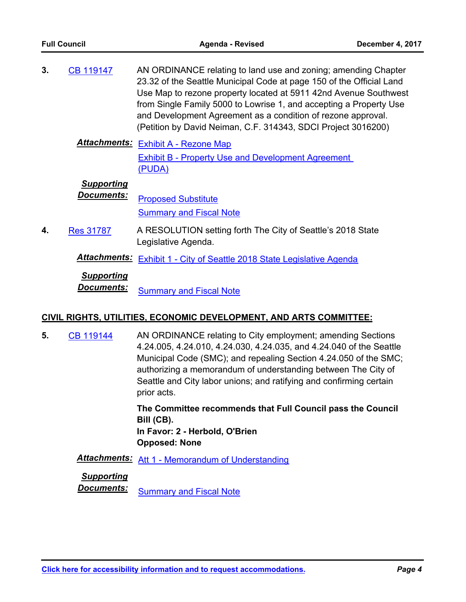| 3. | <b>CB 119147</b> | AN ORDINANCE relating to land use and zoning; amending Chapter       |
|----|------------------|----------------------------------------------------------------------|
|    |                  | 23.32 of the Seattle Municipal Code at page 150 of the Official Land |
|    |                  | Use Map to rezone property located at 5911 42nd Avenue Southwest     |
|    |                  | from Single Family 5000 to Lowrise 1, and accepting a Property Use   |
|    |                  | and Development Agreement as a condition of rezone approval.         |
|    |                  | (Petition by David Neiman, C.F. 314343, SDCI Project 3016200)        |

*Attachments:* [Exhibit A - Rezone Map](http://seattle.legistar.com/gateway.aspx?M=F&ID=f06db5c2-31ee-459e-988b-1bf36f3f2a4c.docx) [Exhibit B - Property Use and Development Agreement](http://seattle.legistar.com/gateway.aspx?M=F&ID=ca9e820f-ca00-49d9-8f03-e69eb0d0c2f8.docx)  (PUDA)

#### *Supporting*

**Documents:** [Proposed Substitute](http://seattle.legistar.com/gateway.aspx?M=F&ID=020bccec-34b0-4ca9-bb14-21f35b4de968.pdf) [Summary and Fiscal Note](http://seattle.legistar.com/gateway.aspx?M=F&ID=9c211c19-39ea-4729-8437-8aef6c723f91.docx)

A RESOLUTION setting forth The City of Seattle's 2018 State Legislative Agenda. **4.** [Res 31787](http://seattle.legistar.com/gateway.aspx?m=l&id=/matter.aspx?key=6452)

Attachments: [Exhibit 1 - City of Seattle 2018 State Legislative Agenda](http://seattle.legistar.com/gateway.aspx?M=F&ID=71942af2-6b46-48e2-81be-be18b66c6820.docx)

### *Supporting*

**Documents:** [Summary and Fiscal Note](http://seattle.legistar.com/gateway.aspx?M=F&ID=0916d2c0-d4c4-4dc0-9c48-06a5de3d3d5a.docx)

### **CIVIL RIGHTS, UTILITIES, ECONOMIC DEVELOPMENT, AND ARTS COMMITTEE:**

AN ORDINANCE relating to City employment; amending Sections 4.24.005, 4.24.010, 4.24.030, 4.24.035, and 4.24.040 of the Seattle Municipal Code (SMC); and repealing Section 4.24.050 of the SMC; authorizing a memorandum of understanding between The City of Seattle and City labor unions; and ratifying and confirming certain prior acts. **5.** [CB 119144](http://seattle.legistar.com/gateway.aspx?m=l&id=/matter.aspx?key=6286)

> **The Committee recommends that Full Council pass the Council Bill (CB). In Favor: 2 - Herbold, O'Brien Opposed: None**

*Attachments:* [Att 1 - Memorandum of Understanding](http://seattle.legistar.com/gateway.aspx?M=F&ID=fbd926a5-f67b-4a18-94b6-97a73f973d2c.docx)

*Supporting*

**Documents:** [Summary and Fiscal Note](http://seattle.legistar.com/gateway.aspx?M=F&ID=ce1c8d03-0466-4a96-bd61-1a9acbe9825d.docx)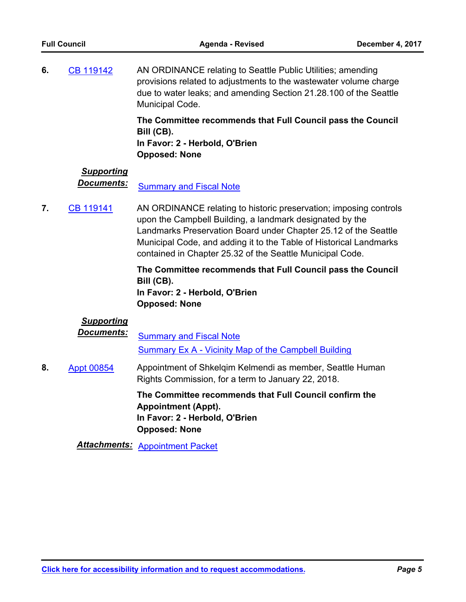AN ORDINANCE relating to Seattle Public Utilities; amending provisions related to adjustments to the wastewater volume charge due to water leaks; and amending Section 21.28.100 of the Seattle Municipal Code. **6.** [CB 119142](http://seattle.legistar.com/gateway.aspx?m=l&id=/matter.aspx?key=5988)

> **The Committee recommends that Full Council pass the Council Bill (CB).**

**In Favor: 2 - Herbold, O'Brien Opposed: None**

## *Supporting*

**Documents:** [Summary and Fiscal Note](http://seattle.legistar.com/gateway.aspx?M=F&ID=a2f3e51a-2247-4c8e-8628-7ea64f81fc3c.docx)

AN ORDINANCE relating to historic preservation; imposing controls upon the Campbell Building, a landmark designated by the Landmarks Preservation Board under Chapter 25.12 of the Seattle Municipal Code, and adding it to the Table of Historical Landmarks contained in Chapter 25.32 of the Seattle Municipal Code. **7.** [CB 119141](http://seattle.legistar.com/gateway.aspx?m=l&id=/matter.aspx?key=5976)

> **The Committee recommends that Full Council pass the Council Bill (CB). In Favor: 2 - Herbold, O'Brien Opposed: None**

### *Supporting*

**Documents:** [Summary and Fiscal Note](http://seattle.legistar.com/gateway.aspx?M=F&ID=c89f9b11-b5c5-4fbf-86e8-3ca663cfe8b3.docx) [Summary Ex A - Vicinity Map of the Campbell Building](http://seattle.legistar.com/gateway.aspx?M=F&ID=01b8034c-b3d4-4878-bca8-1a0e8f6a4813.docx)

Appointment of Shkelqim Kelmendi as member, Seattle Human Rights Commission, for a term to January 22, 2018. **8.** [Appt 00854](http://seattle.legistar.com/gateway.aspx?m=l&id=/matter.aspx?key=6032)

> **The Committee recommends that Full Council confirm the Appointment (Appt). In Favor: 2 - Herbold, O'Brien Opposed: None**

*Attachments:* [Appointment Packet](http://seattle.legistar.com/gateway.aspx?M=F&ID=063c59e2-814c-436f-885e-c92ce289335c.pdf)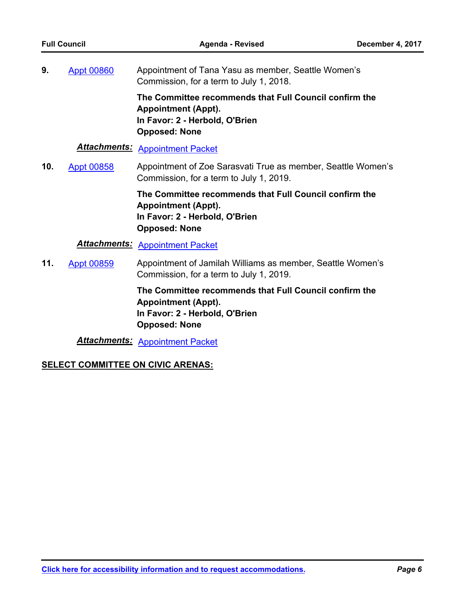Appointment of Tana Yasu as member, Seattle Women's Commission, for a term to July 1, 2018. **9.** [Appt 00860](http://seattle.legistar.com/gateway.aspx?m=l&id=/matter.aspx?key=6040)

> **The Committee recommends that Full Council confirm the Appointment (Appt). In Favor: 2 - Herbold, O'Brien Opposed: None**

### *Attachments:* [Appointment Packet](http://seattle.legistar.com/gateway.aspx?M=F&ID=d7c5fb01-de45-4be8-87e7-083b53b459cb.pdf)

Appointment of Zoe Sarasvati True as member, Seattle Women's Commission, for a term to July 1, 2019. **10.** [Appt 00858](http://seattle.legistar.com/gateway.aspx?m=l&id=/matter.aspx?key=6036)

> **The Committee recommends that Full Council confirm the Appointment (Appt). In Favor: 2 - Herbold, O'Brien Opposed: None**

### *Attachments:* [Appointment Packet](http://seattle.legistar.com/gateway.aspx?M=F&ID=1b10bb31-6d01-4bb6-b0a4-9cb0832fed72.pdf)

Appointment of Jamilah Williams as member, Seattle Women's Commission, for a term to July 1, 2019. **11.** [Appt 00859](http://seattle.legistar.com/gateway.aspx?m=l&id=/matter.aspx?key=6037)

> **The Committee recommends that Full Council confirm the Appointment (Appt). In Favor: 2 - Herbold, O'Brien Opposed: None**

*Attachments:* [Appointment Packet](http://seattle.legistar.com/gateway.aspx?M=F&ID=fc7f32f2-5e12-43a2-b53e-a10b21a5b5cf.pdf)

### **SELECT COMMITTEE ON CIVIC ARENAS:**